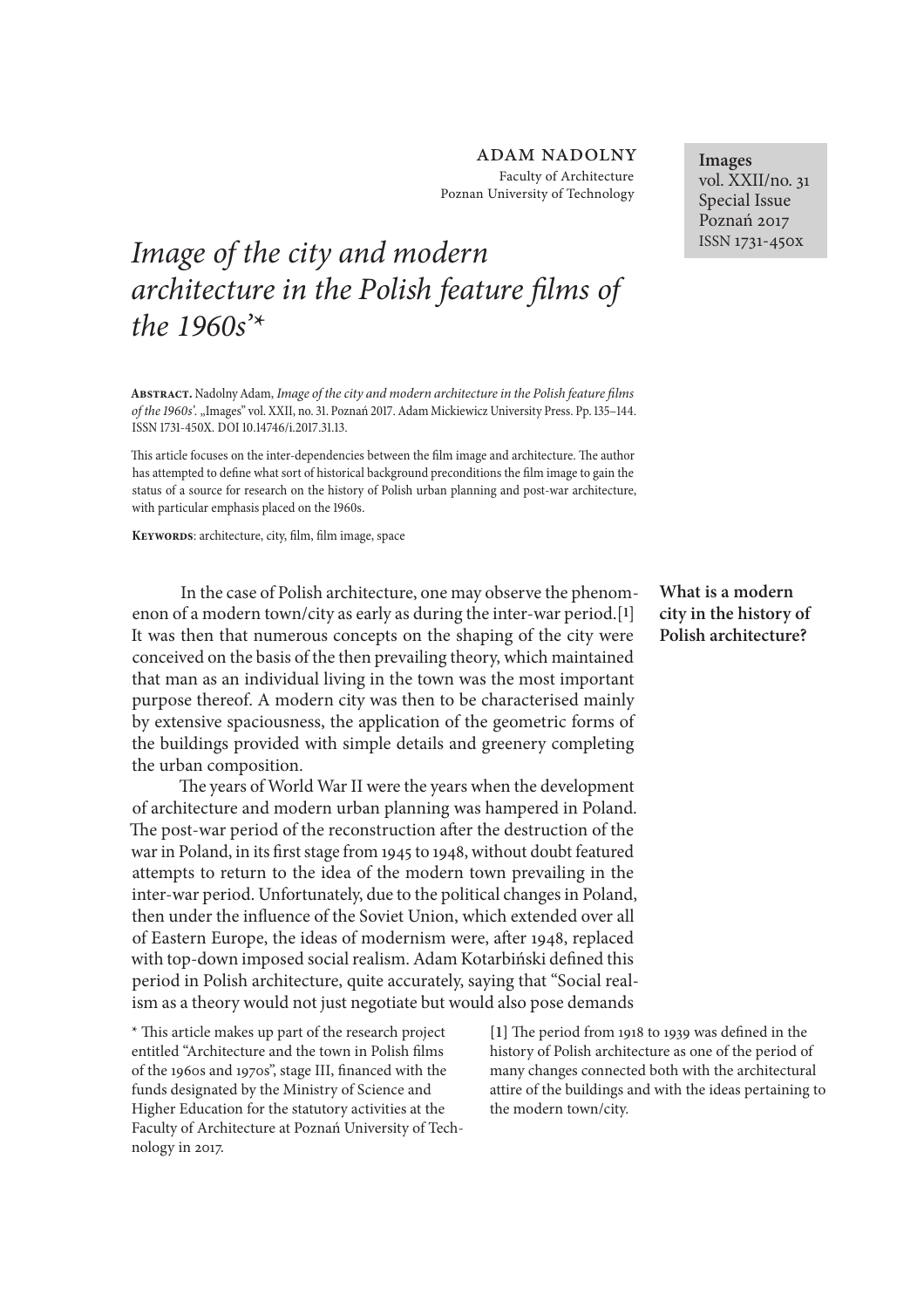## adam nadolny Faculty of Architecture Poznan University of Technology

# *Image of the city and modern architecture in the Polish feature* f*lms of the 1960s'\**

**Abstract.** Nadolny Adam, *Image of the city and modern architecture in the Polish feature* f*lms of the 1960s'.* "Images" vol. XXII, no. 31. Poznań 2017. Adam Mickiewicz University Press. Pp. 135-144. ISSN 1731-450X, DOI 10.14746/i.2017.31.13.

This article focuses on the inter-dependencies between the film image and architecture. The author has attempted to defne what sort of historical background preconditions the flm image to gain the status of a source for research on the history of Polish urban planning and post-war architecture, with particular emphasis placed on the 1960s.

**Keywords**: architecture, city, flm, flm image, space

In the case of Polish architecture, one may observe the phenomenon of a modern town/city as early as during the inter-war period.[**1**] It was then that numerous concepts on the shaping of the city were conceived on the basis of the then prevailing theory, which maintained that man as an individual living in the town was the most important purpose thereof. A modern city was then to be characterised mainly by extensive spaciousness, the application of the geometric forms of the buildings provided with simple details and greenery completing the urban composition.

The years of World War II were the years when the development of architecture and modern urban planning was hampered in Poland. The post-war period of the reconstruction after the destruction of the war in Poland, in its frst stage from 1945 to 1948, without doubt featured attempts to return to the idea of the modern town prevailing in the inter-war period. Unfortunately, due to the political changes in Poland, then under the infuence of the Soviet Union, which extended over all of Eastern Europe, the ideas of modernism were, after 1948, replaced with top-down imposed social realism. Adam Kotarbiński defned this period in Polish architecture, quite accurately, saying that "Social realism as a theory would not just negotiate but would also pose demands

\* Tis article makes up part of the research project entitled "Architecture and the town in Polish flms of the 1960s and 1970s", stage III, fnanced with the funds designated by the Ministry of Science and Higher Education for the statutory activities at the Faculty of Architecture at Poznań University of Technology in 2017.

**Images** vol. XXII/no. 31 Special Issue Poznań 2017 ISSN 1731-450x

**What is a modern city in the history of Polish architecture?**

[1] The period from 1918 to 1939 was defined in the history of Polish architecture as one of the period of many changes connected both with the architectural attire of the buildings and with the ideas pertaining to the modern town/city.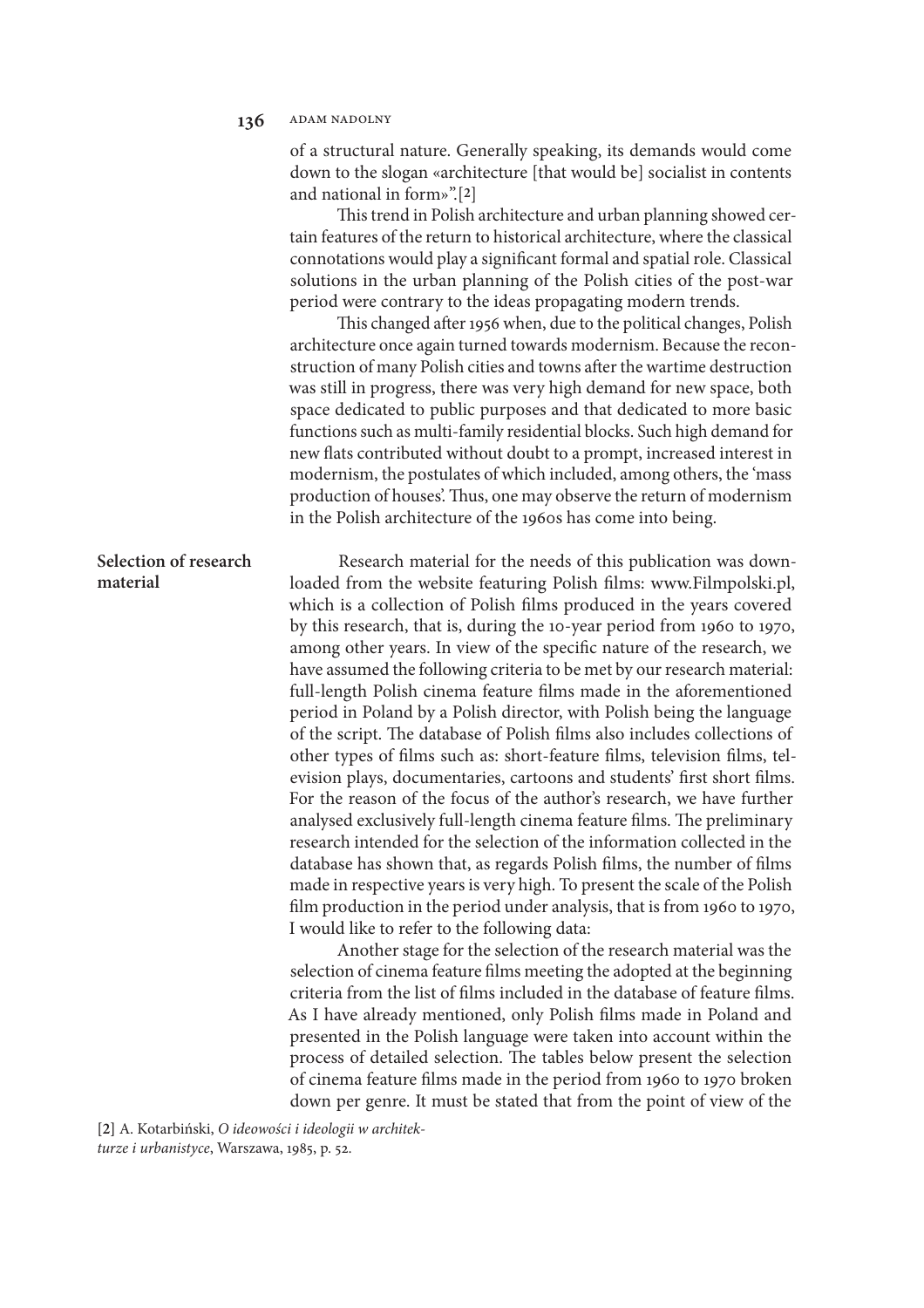of a structural nature. Generally speaking, its demands would come down to the slogan «architecture [that would be] socialist in contents and national in form»".[**2**]

This trend in Polish architecture and urban planning showed certain features of the return to historical architecture, where the classical connotations would play a signifcant formal and spatial role. Classical solutions in the urban planning of the Polish cities of the post-war period were contrary to the ideas propagating modern trends.

This changed after 1956 when, due to the political changes, Polish architecture once again turned towards modernism. Because the reconstruction of many Polish cities and towns afer the wartime destruction was still in progress, there was very high demand for new space, both space dedicated to public purposes and that dedicated to more basic functions such as multi-family residential blocks. Such high demand for new fats contributed without doubt to a prompt, increased interest in modernism, the postulates of which included, among others, the 'mass production of houses'. Thus, one may observe the return of modernism in the Polish architecture of the 1960s has come into being.

## **Selection of research material**

Research material for the needs of this publication was downloaded from the website featuring Polish flms: www.Filmpolski.pl, which is a collection of Polish flms produced in the years covered by this research, that is, during the 10-year period from 1960 to 1970, among other years. In view of the specifc nature of the research, we have assumed the following criteria to be met by our research material: full-length Polish cinema feature flms made in the aforementioned period in Poland by a Polish director, with Polish being the language of the script. The database of Polish films also includes collections of other types of flms such as: short-feature flms, television flms, television plays, documentaries, cartoons and students' frst short flms. For the reason of the focus of the author's research, we have further analysed exclusively full-length cinema feature films. The preliminary research intended for the selection of the information collected in the database has shown that, as regards Polish flms, the number of flms made in respective years is very high. To present the scale of the Polish flm production in the period under analysis, that is from 1960 to 1970, I would like to refer to the following data:

Another stage for the selection of the research material was the selection of cinema feature flms meeting the adopted at the beginning criteria from the list of flms included in the database of feature flms. As I have already mentioned, only Polish flms made in Poland and presented in the Polish language were taken into account within the process of detailed selection. The tables below present the selection of cinema feature flms made in the period from 1960 to 1970 broken down per genre. It must be stated that from the point of view of the

**[2]** A. Kotarbiński, *O ideowo*ś*ci i ideologii w architekturze i urbanistyce*, Warszawa, 1985, p. 52.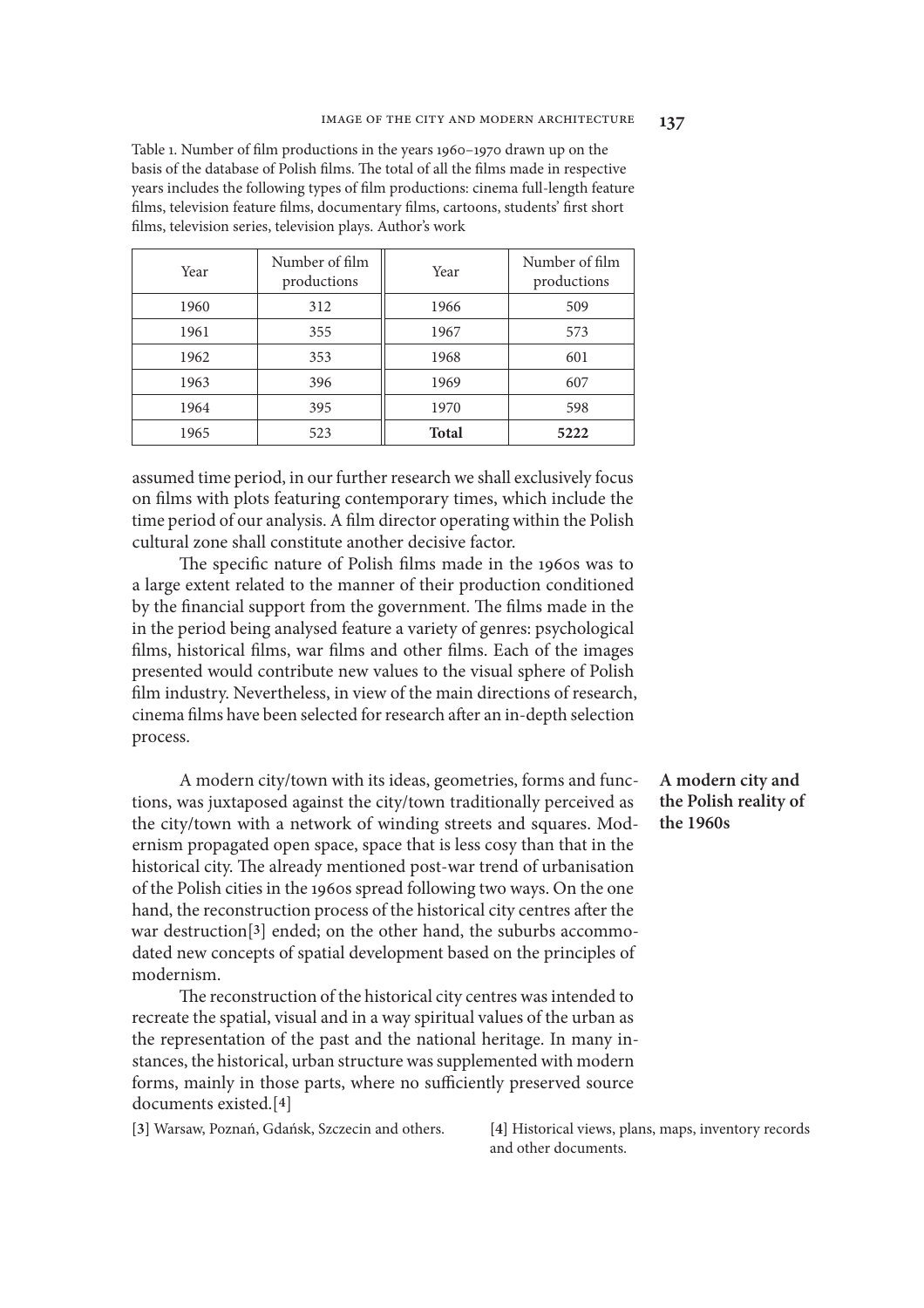Table 1. Number of flm productions in the years 1960–1970 drawn up on the basis of the database of Polish films. The total of all the films made in respective years includes the following types of flm productions: cinema full-length feature flms, television feature flms, documentary flms, cartoons, students' frst short flms, television series, television plays. Author's work

| Year | Number of film<br>productions | Year         | Number of film<br>productions |
|------|-------------------------------|--------------|-------------------------------|
| 1960 | 312                           | 1966         | 509                           |
| 1961 | 355                           | 1967         | 573                           |
| 1962 | 353                           | 1968         | 601                           |
| 1963 | 396                           | 1969         | 607                           |
| 1964 | 395                           | 1970         | 598                           |
| 1965 | 523                           | <b>Total</b> | 5222                          |

assumed time period, in our further research we shall exclusively focus on flms with plots featuring contemporary times, which include the time period of our analysis. A flm director operating within the Polish cultural zone shall constitute another decisive factor.

The specific nature of Polish films made in the 1960s was to a large extent related to the manner of their production conditioned by the financial support from the government. The films made in the in the period being analysed feature a variety of genres: psychological flms, historical flms, war flms and other flms. Each of the images presented would contribute new values to the visual sphere of Polish flm industry. Nevertheless, in view of the main directions of research, cinema films have been selected for research after an in-depth selection process.

A modern city/town with its ideas, geometries, forms and functions, was juxtaposed against the city/town traditionally perceived as the city/town with a network of winding streets and squares. Modernism propagated open space, space that is less cosy than that in the historical city. The already mentioned post-war trend of urbanisation of the Polish cities in the 1960s spread following two ways. On the one hand, the reconstruction process of the historical city centres afer the war destruction[**3**] ended; on the other hand, the suburbs accommodated new concepts of spatial development based on the principles of modernism.

The reconstruction of the historical city centres was intended to recreate the spatial, visual and in a way spiritual values of the urban as the representation of the past and the national heritage. In many instances, the historical, urban structure was supplemented with modern forms, mainly in those parts, where no sufficiently preserved source documents existed.[**4**]

**A modern city and the Polish reality of the 1960s**

**[3]** Warsaw, Poznań, Gdańsk, Szczecin and others. **[4]** Historical views, plans, maps, inventory records and other documents.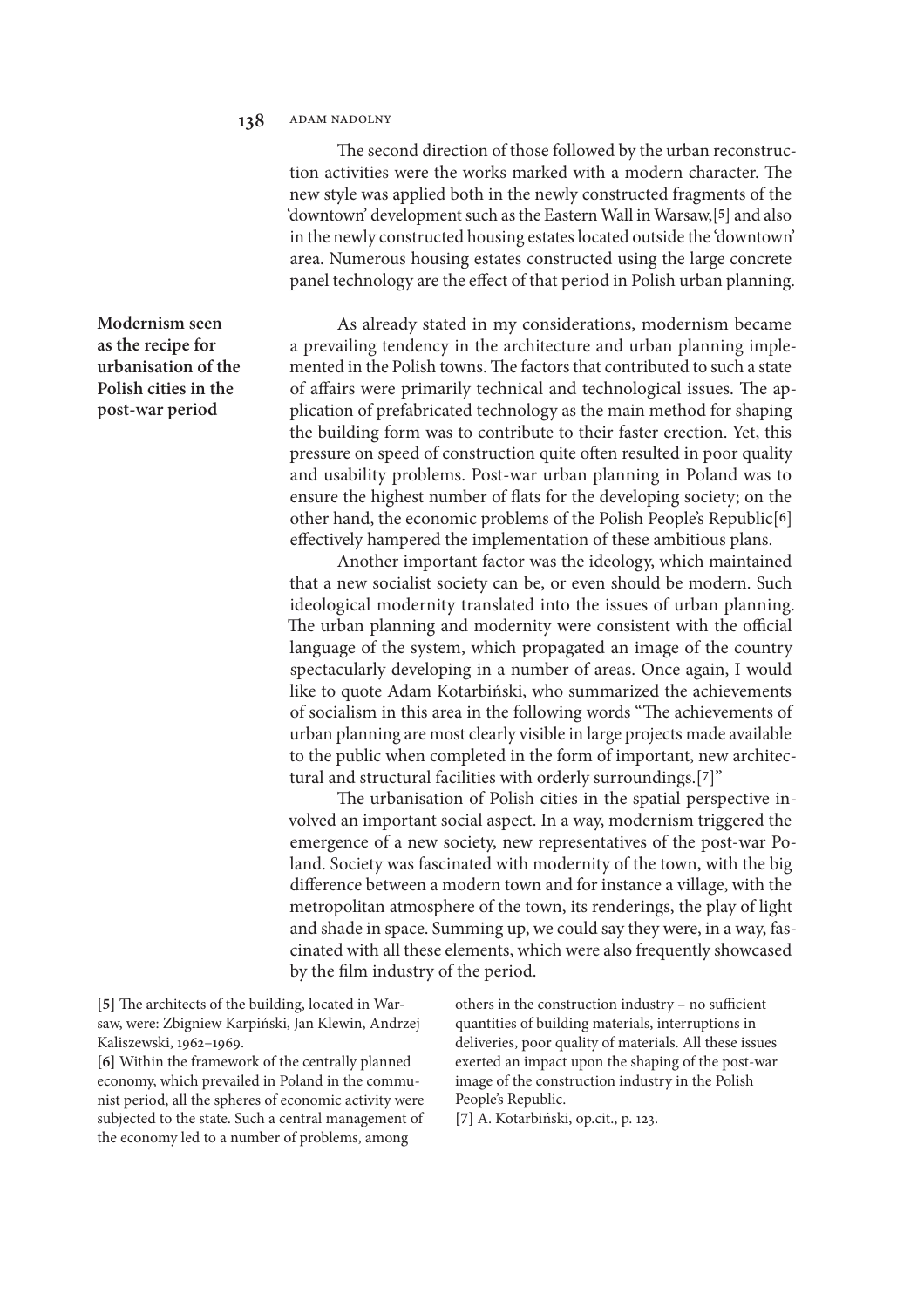The second direction of those followed by the urban reconstruction activities were the works marked with a modern character. The new style was applied both in the newly constructed fragments of the 'downtown' development such as the Eastern Wall in Warsaw,[**5**] and also in the newly constructed housing estates located outside the 'downtown' area. Numerous housing estates constructed using the large concrete panel technology are the effect of that period in Polish urban planning.

As already stated in my considerations, modernism became a prevailing tendency in the architecture and urban planning implemented in the Polish towns. The factors that contributed to such a state of affairs were primarily technical and technological issues. The application of prefabricated technology as the main method for shaping the building form was to contribute to their faster erection. Yet, this pressure on speed of construction quite ofen resulted in poor quality and usability problems. Post-war urban planning in Poland was to ensure the highest number of fats for the developing society; on the other hand, the economic problems of the Polish People's Republic[**6**] efectively hampered the implementation of these ambitious plans.

Another important factor was the ideology, which maintained that a new socialist society can be, or even should be modern. Such ideological modernity translated into the issues of urban planning. The urban planning and modernity were consistent with the official language of the system, which propagated an image of the country spectacularly developing in a number of areas. Once again, I would like to quote Adam Kotarbiński, who summarized the achievements of socialism in this area in the following words "The achievements of urban planning are most clearly visible in large projects made available to the public when completed in the form of important, new architectural and structural facilities with orderly surroundings.[**7**]"

The urbanisation of Polish cities in the spatial perspective involved an important social aspect. In a way, modernism triggered the emergence of a new society, new representatives of the post-war Poland. Society was fascinated with modernity of the town, with the big diference between a modern town and for instance a village, with the metropolitan atmosphere of the town, its renderings, the play of light and shade in space. Summing up, we could say they were, in a way, fascinated with all these elements, which were also frequently showcased by the flm industry of the period.

[5] The architects of the building, located in Warsaw, were: Zbigniew Karpiński, Jan Klewin, Andrzej Kaliszewski, 1962–1969.

**[6]** Within the framework of the centrally planned economy, which prevailed in Poland in the communist period, all the spheres of economic activity were subjected to the state. Such a central management of the economy led to a number of problems, among

others in the construction industry - no sufficient quantities of building materials, interruptions in deliveries, poor quality of materials. All these issues exerted an impact upon the shaping of the post-war image of the construction industry in the Polish People's Republic.

**[7]** A. Kotarbiński, op.cit., p. 123.

**Modernism seen as the recipe for urbanisation of the Polish cities in the post-war period**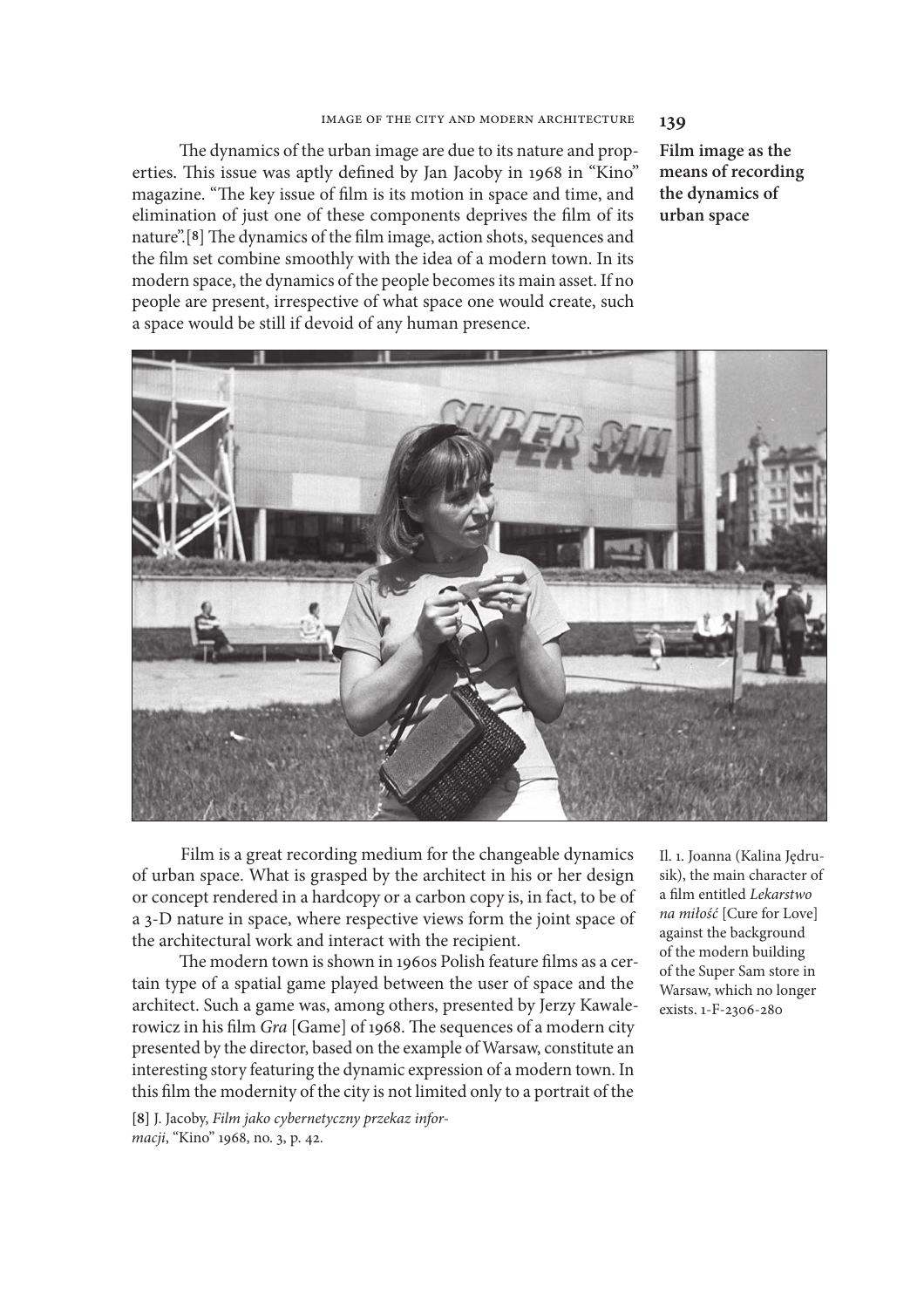#### image of the city and modern architecture **139**

The dynamics of the urban image are due to its nature and properties. This issue was aptly defined by Jan Jacoby in 1968 in "Kino" magazine. "The key issue of film is its motion in space and time, and elimination of just one of these components deprives the flm of its nature".<sup>[8]</sup> The dynamics of the film image, action shots, sequences and the flm set combine smoothly with the idea of a modern town. In its modern space, the dynamics of the people becomes its main asset. If no people are present, irrespective of what space one would create, such a space would be still if devoid of any human presence.

**Film image as the means of recording the dynamics of urban space**



Film is a great recording medium for the changeable dynamics of urban space. What is grasped by the architect in his or her design or concept rendered in a hardcopy or a carbon copy is, in fact, to be of a 3-D nature in space, where respective views form the joint space of the architectural work and interact with the recipient.

The modern town is shown in 1960s Polish feature films as a certain type of a spatial game played between the user of space and the architect. Such a game was, among others, presented by Jerzy Kawalerowicz in his film *Gra* [Game] of 1968. The sequences of a modern city presented by the director, based on the example of Warsaw, constitute an interesting story featuring the dynamic expression of a modern town. In this flm the modernity of the city is not limited only to a portrait of the

**[8]** J. Jacoby, *Film jako cybernetyczny przekaz informacji*, "Kino" 1968, no. 3, p. 42.

Il. 1. Joanna (Kalina Jędrusik), the main character of a flm entitled *Lekarstwo na mi*ł*o*ść [Cure for Love] against the background of the modern building of the Super Sam store in Warsaw, which no longer exists. 1-F-2306-280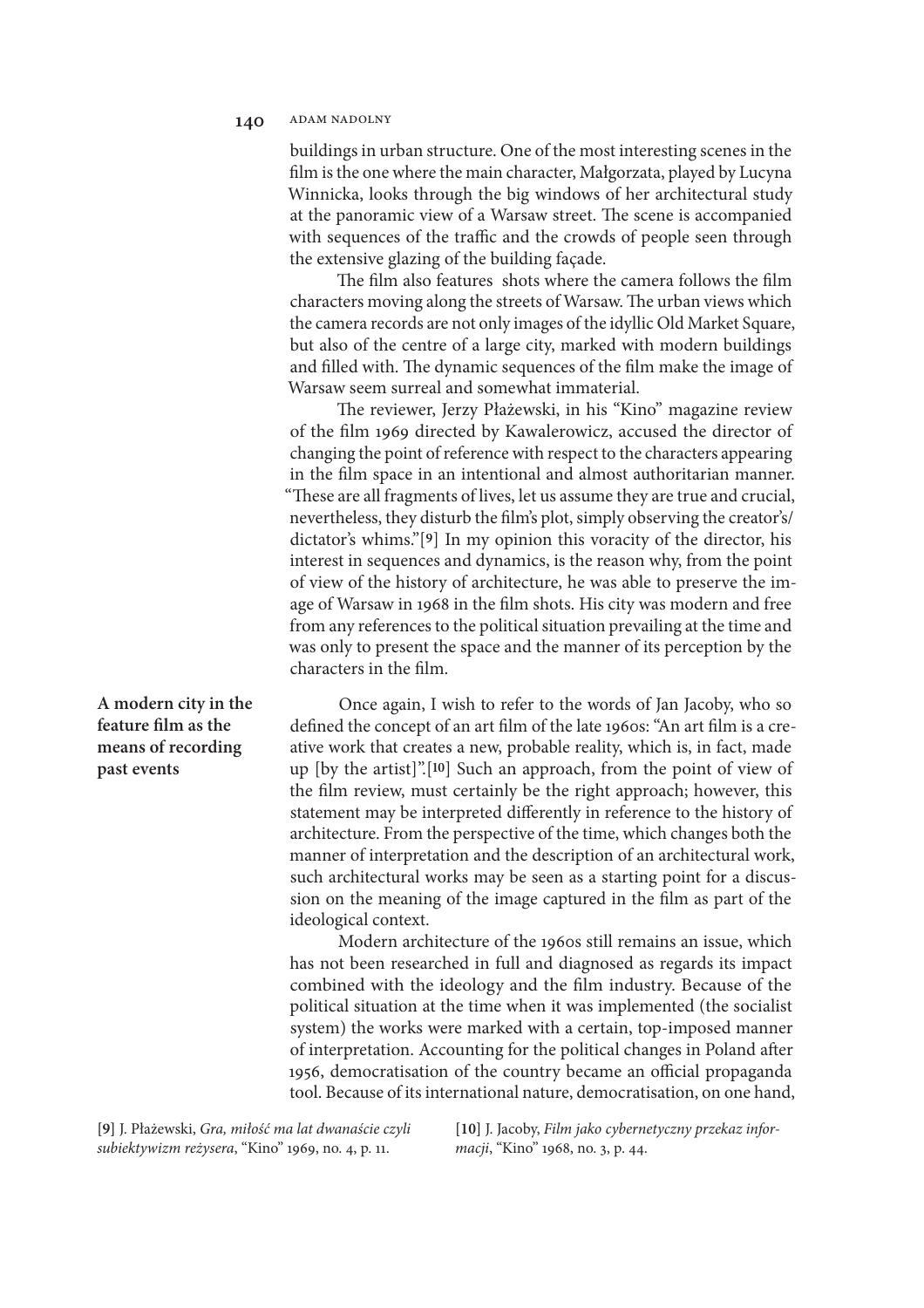#### 140 ADAM NADOLNY

buildings in urban structure. One of the most interesting scenes in the flm is the one where the main character, Małgorzata, played by Lucyna Winnicka, looks through the big windows of her architectural study at the panoramic view of a Warsaw street. The scene is accompanied with sequences of the traffic and the crowds of people seen through the extensive glazing of the building façade.

The film also features shots where the camera follows the film characters moving along the streets of Warsaw. The urban views which the camera records are not only images of the idyllic Old Market Square, but also of the centre of a large city, marked with modern buildings and filled with. The dynamic sequences of the film make the image of Warsaw seem surreal and somewhat immaterial.

The reviewer, Jerzy Płażewski, in his "Kino" magazine review of the flm 1969 directed by Kawalerowicz, accused the director of changing the point of reference with respect to the characters appearing in the flm space in an intentional and almost authoritarian manner. "These are all fragments of lives, let us assume they are true and crucial, nevertheless, they disturb the flm's plot, simply observing the creator's/ dictator's whims."[**9**] In my opinion this voracity of the director, his interest in sequences and dynamics, is the reason why, from the point of view of the history of architecture, he was able to preserve the image of Warsaw in 1968 in the flm shots. His city was modern and free from any references to the political situation prevailing at the time and was only to present the space and the manner of its perception by the characters in the flm.

**A modern city in the feature flm as the means of recording past events**

Once again, I wish to refer to the words of Jan Jacoby, who so defned the concept of an art flm of the late 1960s: "An art flm is a creative work that creates a new, probable reality, which is, in fact, made up [by the artist]".[**10**] Such an approach, from the point of view of the flm review, must certainly be the right approach; however, this statement may be interpreted diferently in reference to the history of architecture. From the perspective of the time, which changes both the manner of interpretation and the description of an architectural work, such architectural works may be seen as a starting point for a discussion on the meaning of the image captured in the flm as part of the ideological context.

Modern architecture of the 1960s still remains an issue, which has not been researched in full and diagnosed as regards its impact combined with the ideology and the flm industry. Because of the political situation at the time when it was implemented (the socialist system) the works were marked with a certain, top-imposed manner of interpretation. Accounting for the political changes in Poland afer 1956, democratisation of the country became an official propaganda tool. Because of its international nature, democratisation, on one hand,

**[9]** J. Płażewski, *Gra, mi*ł*o*ść *ma lat dwana*ś*cie czyli subiektywizm re*ż*ysera*, "Kino" 1969, no. 4, p. 11.

**[10]** J. Jacoby, *Film jako cybernetyczny przekaz informacji*, "Kino" 1968, no. 3, p. 44.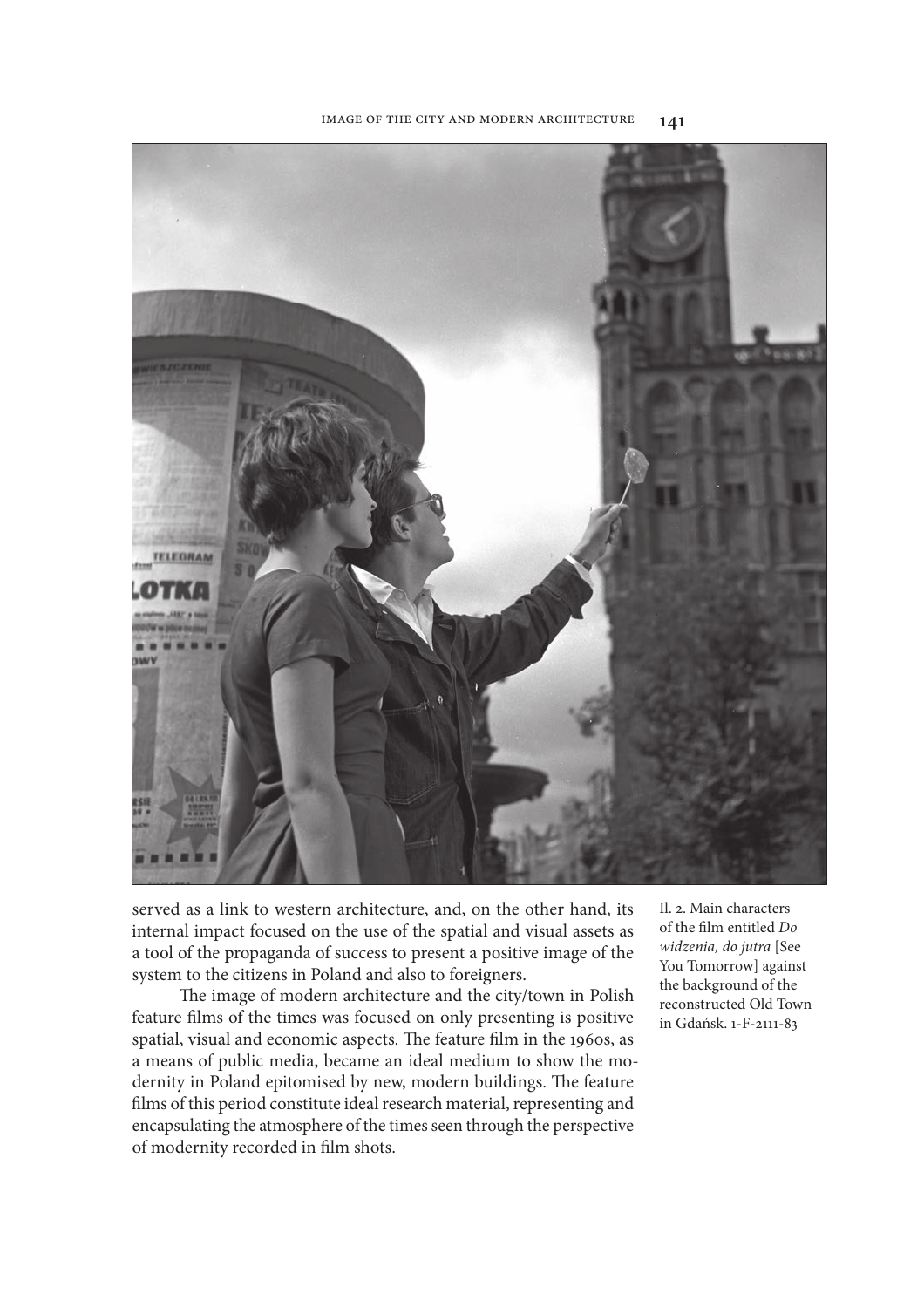

served as a link to western architecture, and, on the other hand, its internal impact focused on the use of the spatial and visual assets as a tool of the propaganda of success to present a positive image of the system to the citizens in Poland and also to foreigners.

The image of modern architecture and the city/town in Polish feature flms of the times was focused on only presenting is positive spatial, visual and economic aspects. The feature film in the 1960s, as a means of public media, became an ideal medium to show the modernity in Poland epitomised by new, modern buildings. The feature flms of this period constitute ideal research material, representing and encapsulating the atmosphere of the times seen through the perspective of modernity recorded in flm shots.

Il. 2. Main characters of the flm entitled *Do widzenia, do jutra* [See You Tomorrow] against the background of the reconstructed Old Town in Gdańsk. 1-F-2111-83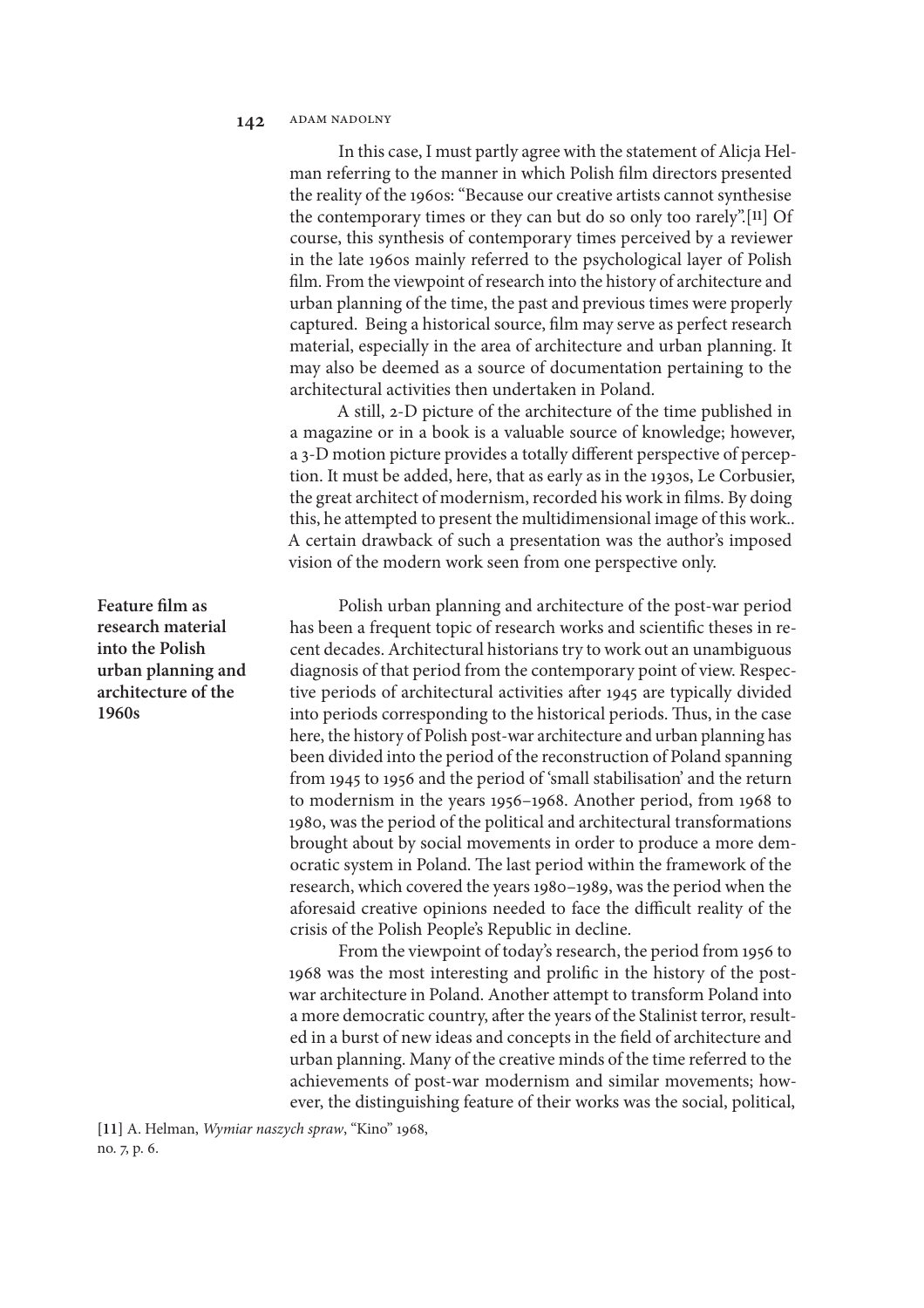In this case, I must partly agree with the statement of Alicja Helman referring to the manner in which Polish flm directors presented the reality of the 1960s: "Because our creative artists cannot synthesise the contemporary times or they can but do so only too rarely".[**11**] Of course, this synthesis of contemporary times perceived by a reviewer in the late 1960s mainly referred to the psychological layer of Polish flm. From the viewpoint of research into the history of architecture and urban planning of the time, the past and previous times were properly captured. Being a historical source, flm may serve as perfect research material, especially in the area of architecture and urban planning. It may also be deemed as a source of documentation pertaining to the architectural activities then undertaken in Poland.

A still, 2-D picture of the architecture of the time published in a magazine or in a book is a valuable source of knowledge; however, a 3-D motion picture provides a totally diferent perspective of perception. It must be added, here, that as early as in the 1930s, Le Corbusier, the great architect of modernism, recorded his work in flms. By doing this, he attempted to present the multidimensional image of this work.. A certain drawback of such a presentation was the author's imposed vision of the modern work seen from one perspective only.

Polish urban planning and architecture of the post-war period has been a frequent topic of research works and scientifc theses in recent decades. Architectural historians try to work out an unambiguous diagnosis of that period from the contemporary point of view. Respective periods of architectural activities afer 1945 are typically divided into periods corresponding to the historical periods. Thus, in the case here, the history of Polish post-war architecture and urban planning has been divided into the period of the reconstruction of Poland spanning from 1945 to 1956 and the period of 'small stabilisation' and the return to modernism in the years 1956–1968. Another period, from 1968 to 1980, was the period of the political and architectural transformations brought about by social movements in order to produce a more democratic system in Poland. The last period within the framework of the research, which covered the years 1980–1989, was the period when the aforesaid creative opinions needed to face the difficult reality of the crisis of the Polish People's Republic in decline.

From the viewpoint of today's research, the period from 1956 to 1968 was the most interesting and prolifc in the history of the postwar architecture in Poland. Another attempt to transform Poland into a more democratic country, afer the years of the Stalinist terror, resulted in a burst of new ideas and concepts in the feld of architecture and urban planning. Many of the creative minds of the time referred to the achievements of post-war modernism and similar movements; however, the distinguishing feature of their works was the social, political,

**[11]** A. Helman, *Wymiar naszych spraw*, "Kino" 1968, no. 7, p. 6.

**Feature flm as research material into the Polish urban planning and architecture of the 1960s**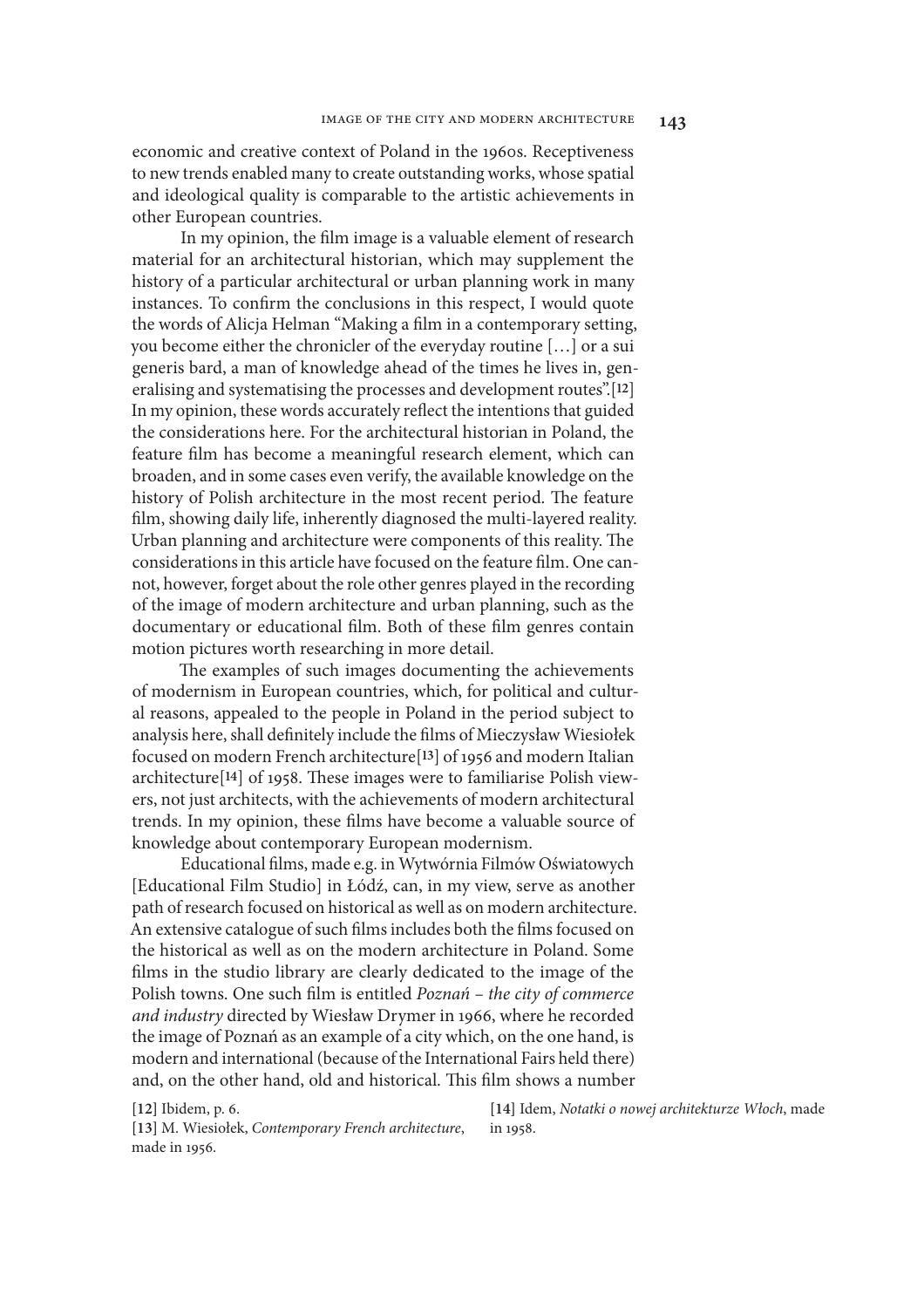economic and creative context of Poland in the 1960s. Receptiveness to new trends enabled many to create outstanding works, whose spatial and ideological quality is comparable to the artistic achievements in other European countries.

In my opinion, the flm image is a valuable element of research material for an architectural historian, which may supplement the history of a particular architectural or urban planning work in many instances. To confrm the conclusions in this respect, I would quote the words of Alicja Helman "Making a flm in a contemporary setting, you become either the chronicler of the everyday routine […] or a sui generis bard, a man of knowledge ahead of the times he lives in, generalising and systematising the processes and development routes".[**12**] In my opinion, these words accurately refect the intentions that guided the considerations here. For the architectural historian in Poland, the feature flm has become a meaningful research element, which can broaden, and in some cases even verify, the available knowledge on the history of Polish architecture in the most recent period. The feature flm, showing daily life, inherently diagnosed the multi-layered reality. Urban planning and architecture were components of this reality. The considerations in this article have focused on the feature flm. One cannot, however, forget about the role other genres played in the recording of the image of modern architecture and urban planning, such as the documentary or educational flm. Both of these flm genres contain motion pictures worth researching in more detail.

The examples of such images documenting the achievements of modernism in European countries, which, for political and cultural reasons, appealed to the people in Poland in the period subject to analysis here, shall defnitely include the flms of Mieczysław Wiesiołek focused on modern French architecture[**13**] of 1956 and modern Italian architecture<sup>[14]</sup> of 1958. These images were to familiarise Polish viewers, not just architects, with the achievements of modern architectural trends. In my opinion, these flms have become a valuable source of knowledge about contemporary European modernism.

Educational flms, made e.g. in Wytwórnia Filmów Oświatowych [Educational Film Studio] in Łódź, can, in my view, serve as another path of research focused on historical as well as on modern architecture. An extensive catalogue of such flms includes both the flms focused on the historical as well as on the modern architecture in Poland. Some flms in the studio library are clearly dedicated to the image of the Polish towns. One such flm is entitled *Pozna*ń *– the city of commerce and industry* directed by Wiesław Drymer in 1966, where he recorded the image of Poznań as an example of a city which, on the one hand, is modern and international (because of the International Fairs held there) and, on the other hand, old and historical. This film shows a number

**[12]** Ibidem, p. 6.

**[13]** M. Wiesiołek, *Contemporary French architecture*, made in 1956.

**[14]** Idem, *Notatki o nowej architekturze W*ł*och*, made in 1958.